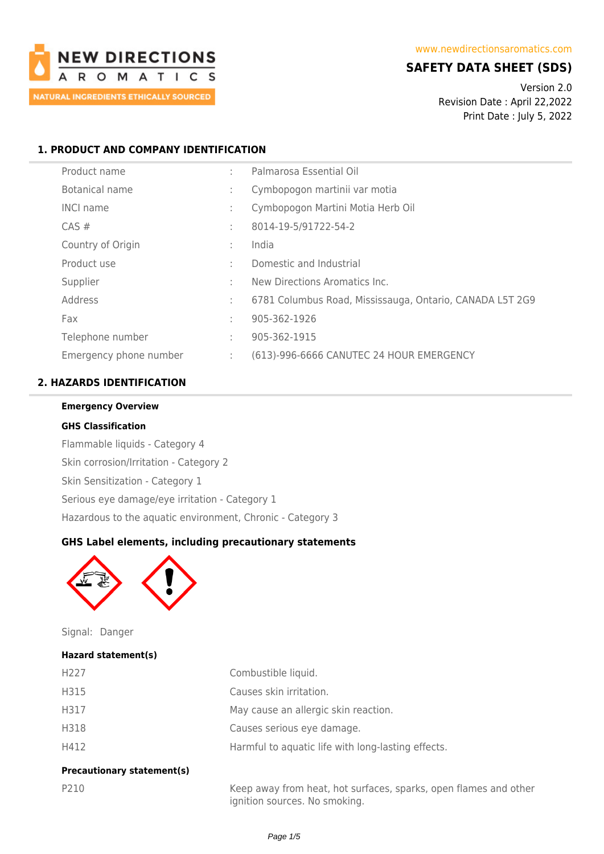

# **SAFETY DATA SHEET (SDS)**

Version 2.0 Revision Date : April 22,2022 Print Date : July 5, 2022

## **1. PRODUCT AND COMPANY IDENTIFICATION**

| Product name           | ٠ | Palmarosa Essential Oil                                  |
|------------------------|---|----------------------------------------------------------|
| Botanical name         | ÷ | Cymbopogon martinii var motia                            |
| <b>INCI name</b>       | ÷ | Cymbopogon Martini Motia Herb Oil                        |
| $CAS \#$               | ÷ | 8014-19-5/91722-54-2                                     |
| Country of Origin      | ÷ | India                                                    |
| Product use            | ÷ | Domestic and Industrial                                  |
| Supplier               | ÷ | New Directions Aromatics Inc.                            |
| Address                | ÷ | 6781 Columbus Road, Mississauga, Ontario, CANADA L5T 2G9 |
| Fax                    | ÷ | 905-362-1926                                             |
| Telephone number       | ÷ | 905-362-1915                                             |
| Emergency phone number | ÷ | (613)-996-6666 CANUTEC 24 HOUR EMERGENCY                 |

## **2. HAZARDS IDENTIFICATION**

### **Emergency Overview**

#### **GHS Classification**

Flammable liquids - Category 4 Skin corrosion/Irritation - Category 2 Skin Sensitization - Category 1 Serious eye damage/eye irritation - Category 1 Hazardous to the aquatic environment, Chronic - Category 3

## **GHS Label elements, including precautionary statements**



Signal: Danger

#### **Hazard statement(s)**

| H <sub>227</sub> | Combustible liquid.                                |
|------------------|----------------------------------------------------|
| H315             | Causes skin irritation.                            |
| H317             | May cause an allergic skin reaction.               |
| H318             | Causes serious eye damage.                         |
| H412             | Harmful to aquatic life with long-lasting effects. |

## **Precautionary statement(s)**

P210 Keep away from heat, hot surfaces, sparks, open flames and other ignition sources. No smoking.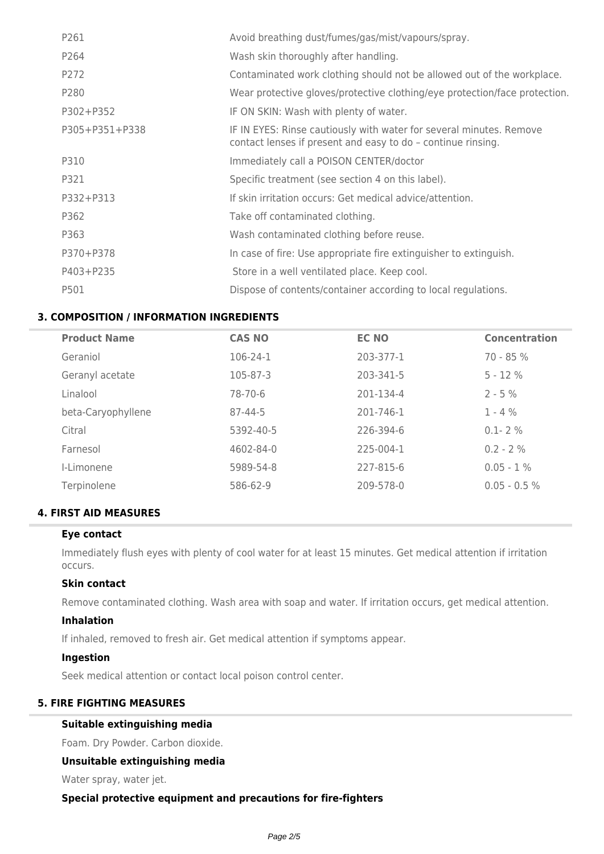| P261           | Avoid breathing dust/fumes/gas/mist/vapours/spray.                                                                                  |
|----------------|-------------------------------------------------------------------------------------------------------------------------------------|
| P264           | Wash skin thoroughly after handling.                                                                                                |
| P272           | Contaminated work clothing should not be allowed out of the workplace.                                                              |
| P280           | Wear protective gloves/protective clothing/eye protection/face protection.                                                          |
| P302+P352      | IF ON SKIN: Wash with plenty of water.                                                                                              |
| P305+P351+P338 | IF IN EYES: Rinse cautiously with water for several minutes. Remove<br>contact lenses if present and easy to do - continue rinsing. |
| P310           | Immediately call a POISON CENTER/doctor                                                                                             |
| P321           | Specific treatment (see section 4 on this label).                                                                                   |
| P332+P313      | If skin irritation occurs: Get medical advice/attention.                                                                            |
| P362           | Take off contaminated clothing.                                                                                                     |
| P363           | Wash contaminated clothing before reuse.                                                                                            |
| P370+P378      | In case of fire: Use appropriate fire extinguisher to extinguish.                                                                   |
| P403+P235      | Store in a well ventilated place. Keep cool.                                                                                        |
| P501           | Dispose of contents/container according to local regulations.                                                                       |

## **3. COMPOSITION / INFORMATION INGREDIENTS**

| <b>CAS NO</b> | <b>EC NO</b> | <b>Concentration</b> |
|---------------|--------------|----------------------|
| 106-24-1      | 203-377-1    | $70 - 85%$           |
| 105-87-3      | 203-341-5    | $5 - 12%$            |
| 78-70-6       | 201-134-4    | $2 - 5\%$            |
| $87 - 44 - 5$ | 201-746-1    | $1 - 4 %$            |
| 5392-40-5     | 226-394-6    | $0.1 - 2%$           |
| 4602-84-0     | 225-004-1    | $0.2 - 2 \%$         |
| 5989-54-8     | 227-815-6    | $0.05 - 1\%$         |
| 586-62-9      | 209-578-0    | $0.05 - 0.5 %$       |
|               |              |                      |

## **4. FIRST AID MEASURES**

#### **Eye contact**

Immediately flush eyes with plenty of cool water for at least 15 minutes. Get medical attention if irritation occurs.

## **Skin contact**

Remove contaminated clothing. Wash area with soap and water. If irritation occurs, get medical attention.

### **Inhalation**

If inhaled, removed to fresh air. Get medical attention if symptoms appear.

#### **Ingestion**

Seek medical attention or contact local poison control center.

## **5. FIRE FIGHTING MEASURES**

## **Suitable extinguishing media**

Foam. Dry Powder. Carbon dioxide.

## **Unsuitable extinguishing media**

Water spray, water jet.

## **Special protective equipment and precautions for fire-fighters**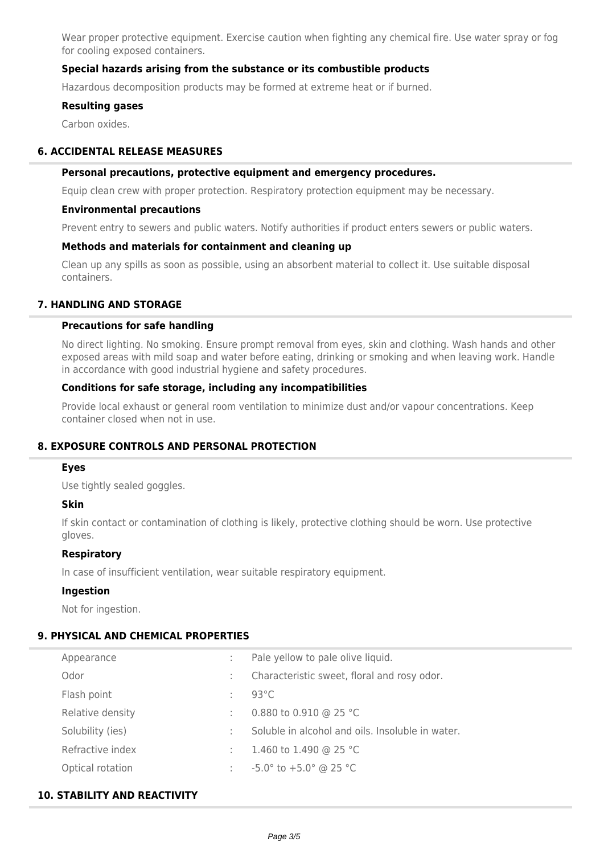Wear proper protective equipment. Exercise caution when fighting any chemical fire. Use water spray or fog for cooling exposed containers.

## **Special hazards arising from the substance or its combustible products**

Hazardous decomposition products may be formed at extreme heat or if burned.

#### **Resulting gases**

Carbon oxides.

## **6. ACCIDENTAL RELEASE MEASURES**

#### **Personal precautions, protective equipment and emergency procedures.**

Equip clean crew with proper protection. Respiratory protection equipment may be necessary.

#### **Environmental precautions**

Prevent entry to sewers and public waters. Notify authorities if product enters sewers or public waters.

### **Methods and materials for containment and cleaning up**

Clean up any spills as soon as possible, using an absorbent material to collect it. Use suitable disposal containers.

### **7. HANDLING AND STORAGE**

#### **Precautions for safe handling**

No direct lighting. No smoking. Ensure prompt removal from eyes, skin and clothing. Wash hands and other exposed areas with mild soap and water before eating, drinking or smoking and when leaving work. Handle in accordance with good industrial hygiene and safety procedures.

### **Conditions for safe storage, including any incompatibilities**

Provide local exhaust or general room ventilation to minimize dust and/or vapour concentrations. Keep container closed when not in use.

## **8. EXPOSURE CONTROLS AND PERSONAL PROTECTION**

#### **Eyes**

Use tightly sealed goggles.

## **Skin**

If skin contact or contamination of clothing is likely, protective clothing should be worn. Use protective gloves.

#### **Respiratory**

In case of insufficient ventilation, wear suitable respiratory equipment.

#### **Ingestion**

Not for ingestion.

## **9. PHYSICAL AND CHEMICAL PROPERTIES**

| Appearance       |    | Pale yellow to pale olive liquid.                |
|------------------|----|--------------------------------------------------|
| Odor             |    | Characteristic sweet, floral and rosy odor.      |
| Flash point      | ÷  | $93^{\circ}$ C                                   |
| Relative density |    | 0.880 to 0.910 @ 25 °C                           |
| Solubility (ies) | ÷. | Soluble in alcohol and oils. Insoluble in water. |
| Refractive index | ÷  | 1.460 to 1.490 @ 25 °C                           |
| Optical rotation |    | $-5.0^{\circ}$ to $+5.0^{\circ}$ @ 25 °C         |

### **10. STABILITY AND REACTIVITY**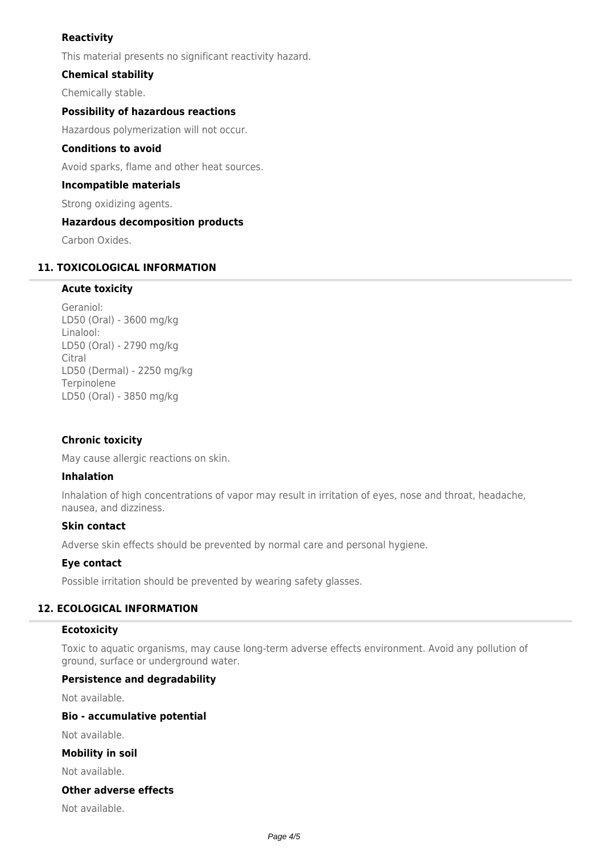## **Reactivity**

This material presents no significant reactivity hazard.

## **Chemical stability**

Chemically stable.

## **Possibility of hazardous reactions**

Hazardous polymerization will not occur.

## **Conditions to avoid**

Avoid sparks, flame and other heat sources.

## **Incompatible materials**

Strong oxidizing agents.

## **Hazardous decomposition products**

Carbon Oxides.

## **11. TOXICOLOGICAL INFORMATION**

## **Acute toxicity**

Geraniol: LD50 (Oral) - 3600 mg/kg Linalool: LD50 (Oral) - 2790 mg/kg Citral LD50 (Dermal) - 2250 mg/kg Terpinolene LD50 (Oral) - 3850 mg/kg

## **Chronic toxicity**

May cause allergic reactions on skin.

## **Inhalation**

Inhalation of high concentrations of vapor may result in irritation of eyes, nose and throat, headache, nausea, and dizziness.

## **Skin contact**

Adverse skin effects should be prevented by normal care and personal hygiene.

## **Eye contact**

Possible irritation should be prevented by wearing safety glasses.

## **12. ECOLOGICAL INFORMATION**

## **Ecotoxicity**

Toxic to aquatic organisms, may cause long-term adverse effects environment. Avoid any pollution of ground, surface or underground water.

## **Persistence and degradability**

Not available.

## **Bio - accumulative potential**

Not available.

## **Mobility in soil**

Not available.

## **Other adverse effects**

Not available.